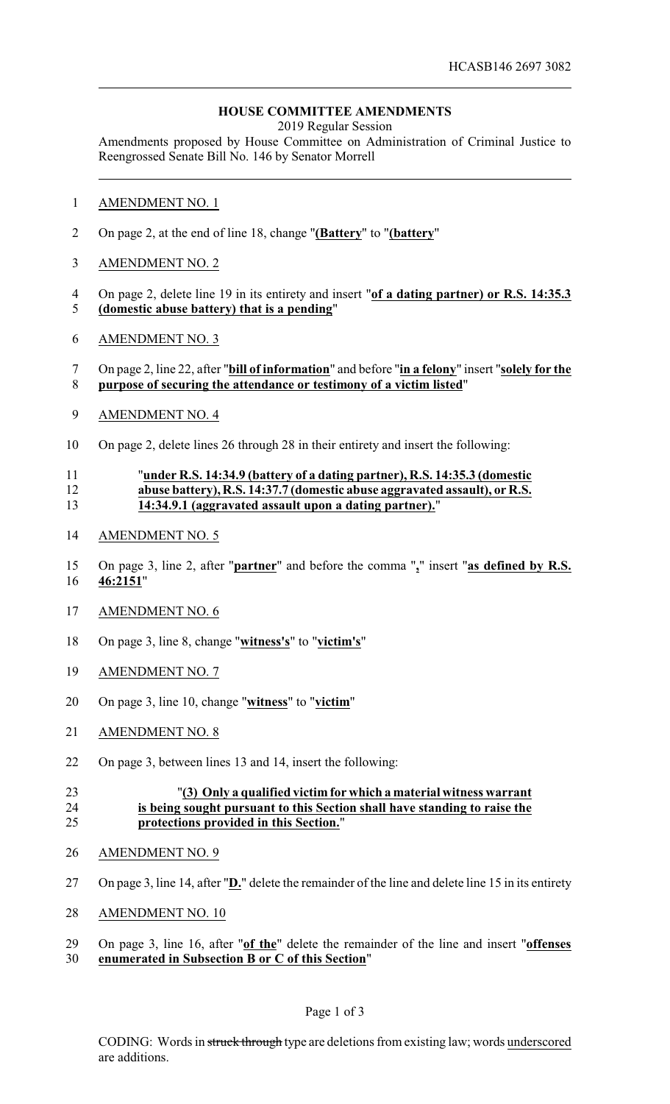## **HOUSE COMMITTEE AMENDMENTS**

2019 Regular Session

Amendments proposed by House Committee on Administration of Criminal Justice to Reengrossed Senate Bill No. 146 by Senator Morrell

- AMENDMENT NO. 1
- On page 2, at the end of line 18, change "**(Battery**" to "**(battery**"
- AMENDMENT NO. 2
- On page 2, delete line 19 in its entirety and insert "**of a dating partner) or R.S. 14:35.3**
- **(domestic abuse battery) that is a pending**"
- AMENDMENT NO. 3
- On page 2, line 22, after "**bill of information**" and before "**in a felony**" insert "**solely for the purpose of securing the attendance or testimony of a victim listed**"
- AMENDMENT NO. 4
- On page 2, delete lines 26 through 28 in their entirety and insert the following:

#### "**under R.S. 14:34.9 (battery of a dating partner), R.S. 14:35.3 (domestic abuse battery), R.S. 14:37.7 (domestic abuse aggravated assault), or R.S. 14:34.9.1 (aggravated assault upon a dating partner).**"

- AMENDMENT NO. 5
- On page 3, line 2, after "**partner**" and before the comma "**,**" insert "**as defined by R.S. 46:2151**"
- AMENDMENT NO. 6
- On page 3, line 8, change "**witness's**" to "**victim's**"
- AMENDMENT NO. 7
- On page 3, line 10, change "**witness**" to "**victim**"
- AMENDMENT NO. 8
- On page 3, between lines 13 and 14, insert the following:

### "**(3) Only a qualified victim for which a material witness warrant is being sought pursuant to this Section shall have standing to raise the protections provided in this Section.**"

- AMENDMENT NO. 9
- On page 3, line 14, after "**D.**" delete the remainder of the line and delete line 15 in its entirety
- AMENDMENT NO. 10
- On page 3, line 16, after "**of the**" delete the remainder of the line and insert "**offenses enumerated in Subsection B or C of this Section**"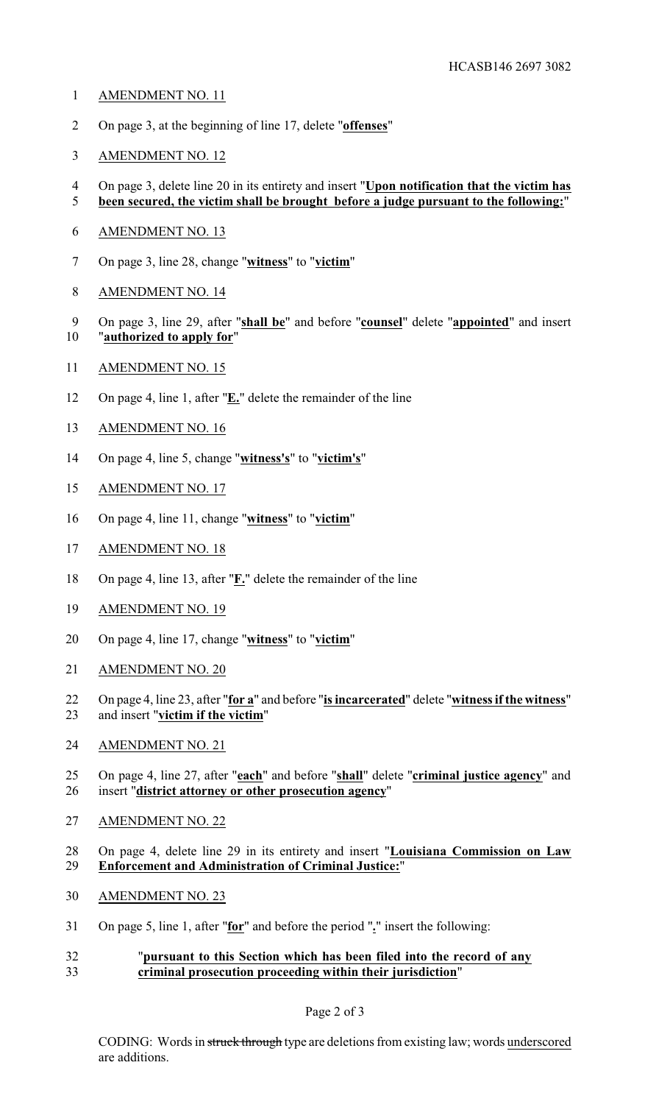- AMENDMENT NO. 11
- On page 3, at the beginning of line 17, delete "**offenses**"
- AMENDMENT NO. 12
- On page 3, delete line 20 in its entirety and insert "**Upon notification that the victim has been secured, the victim shall be brought before a judge pursuant to the following:**"
- AMENDMENT NO. 13
- On page 3, line 28, change "**witness**" to "**victim**"
- AMENDMENT NO. 14
- On page 3, line 29, after "**shall be**" and before "**counsel**" delete "**appointed**" and insert "**authorized to apply for**"
- AMENDMENT NO. 15
- On page 4, line 1, after "**E.**" delete the remainder of the line
- AMENDMENT NO. 16
- On page 4, line 5, change "**witness's**" to "**victim's**"
- AMENDMENT NO. 17
- On page 4, line 11, change "**witness**" to "**victim**"
- AMENDMENT NO. 18
- On page 4, line 13, after "**F.**" delete the remainder of the line
- AMENDMENT NO. 19
- On page 4, line 17, change "**witness**" to "**victim**"
- AMENDMENT NO. 20
- On page 4, line 23, after "**for a**" and before "**is incarcerated**" delete "**witness if the witness**" and insert "**victim if the victim**"
- AMENDMENT NO. 21
- On page 4, line 27, after "**each**" and before "**shall**" delete "**criminal justice agency**" and insert "**district attorney or other prosecution agency**"
- AMENDMENT NO. 22
- On page 4, delete line 29 in its entirety and insert "**Louisiana Commission on Law Enforcement and Administration of Criminal Justice:**"
- AMENDMENT NO. 23
- On page 5, line 1, after "**for**" and before the period "**.**" insert the following:

### "**pursuant to this Section which has been filed into the record of any criminal prosecution proceeding within their jurisdiction**"

### Page 2 of 3

CODING: Words in struck through type are deletions from existing law; words underscored are additions.